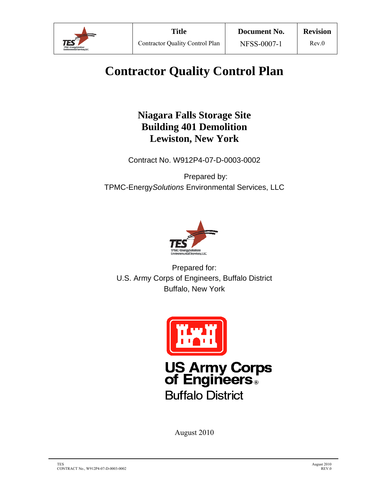

# **Contractor Quality Control Plan**

# **Niagara Falls Storage Site Building 401 Demolition Lewiston, New York**

Contract No. W912P4-07-D-0003-0002

Prepared by: TPMC-Energy*Solutions* Environmental Services, LLC



Prepared for: U.S. Army Corps of Engineers, Buffalo District Buffalo, New York



August 2010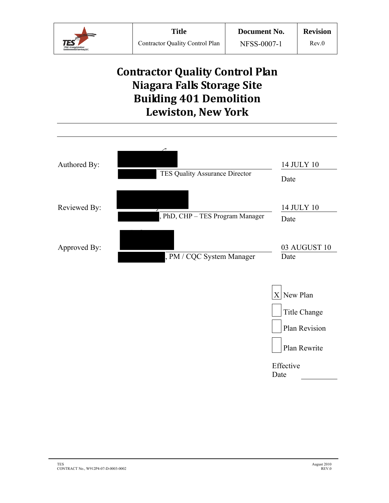

# **Contractor Quality Control Plan Niagara Falls Storage Site Building 401 Demolition Lewiston, New York**

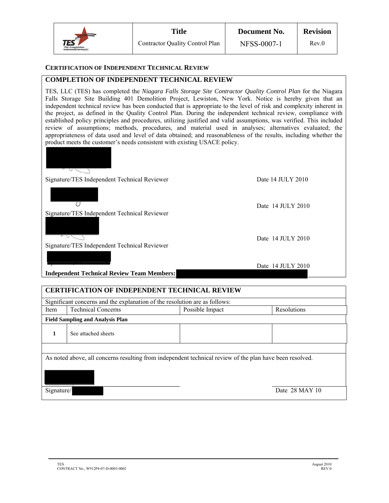|                                                                                     | Title                                  | Document No. | <b>Revision</b> |  |
|-------------------------------------------------------------------------------------|----------------------------------------|--------------|-----------------|--|
| $\mathsf{TES}^{\mathsf{SP}}$<br>TPMC-EnergySolution:<br>Environmental Sanvices, LLC | <b>Contractor Quality Control Plan</b> | NFSS-0007-1  | Rev.0           |  |

#### **CERTIFICATION OF INDEPENDENT TECHNICAL REVIEW**

#### **COMPLETION OF INDEPENDENT TECHNICAL REVIEW**

TES, LLC (TES) has completed the *Niagara Falls Storage Site Contractor Quality Control Plan* for the Niagara Falls Storage Site Building 401 Demolition Project, Lewiston, New York. Notice is hereby given that an independent technical review has been conducted that is appropriate to the level of risk and complexity inherent in the project, as defined in the Quality Control Plan. During the independent technical review, compliance with established policy principles and procedures, utilizing justified and valid assumptions, was verified. This included review of assumptions; methods, procedures, and material used in analyses; alternatives evaluated; the appropriateness of data used and level of data obtained; and reasonableness of the results, including whether the product meets the customer's needs consistent with existing USACE policy.



| <b>CERTIFICATION OF INDEPENDENT TECHNICAL REVIEW</b>                                                                                     |                                                                            |                 |             |  |  |  |  |  |
|------------------------------------------------------------------------------------------------------------------------------------------|----------------------------------------------------------------------------|-----------------|-------------|--|--|--|--|--|
|                                                                                                                                          | Significant concerns and the explanation of the resolution are as follows: |                 |             |  |  |  |  |  |
| Item                                                                                                                                     | <b>Technical Concerns</b>                                                  | Possible Impact | Resolutions |  |  |  |  |  |
|                                                                                                                                          | <b>Field Sampling and Analysis Plan</b>                                    |                 |             |  |  |  |  |  |
| 1                                                                                                                                        | See attached sheets                                                        |                 |             |  |  |  |  |  |
| As noted above, all concerns resulting from independent technical review of the plan have been resolved.<br>Date 28 MAY 10<br>Signature/ |                                                                            |                 |             |  |  |  |  |  |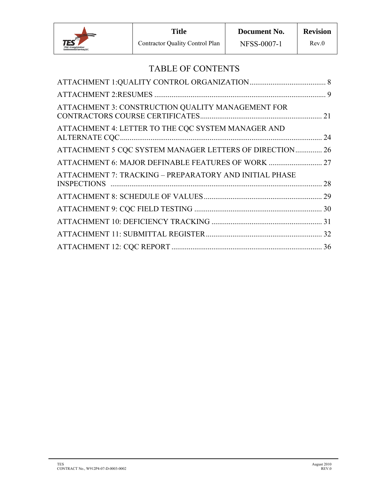

# TABLE OF CONTENTS

| ATTACHMENT 3: CONSTRUCTION QUALITY MANAGEMENT FOR       |  |
|---------------------------------------------------------|--|
| ATTACHMENT 4: LETTER TO THE CQC SYSTEM MANAGER AND      |  |
| ATTACHMENT 5 CQC SYSTEM MANAGER LETTERS OF DIRECTION 26 |  |
| ATTACHMENT 6: MAJOR DEFINABLE FEATURES OF WORK  27      |  |
| ATTACHMENT 7: TRACKING - PREPARATORY AND INITIAL PHASE  |  |
|                                                         |  |
|                                                         |  |
|                                                         |  |
|                                                         |  |
|                                                         |  |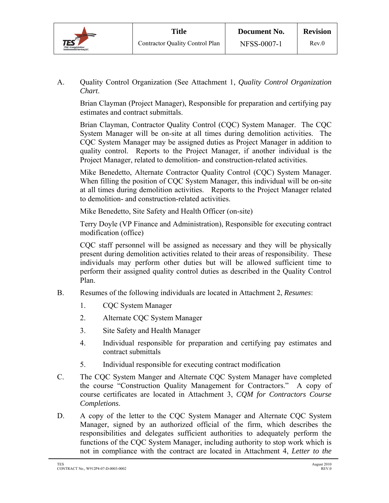

A. Quality Control Organization (See Attachment 1, *Quality Control Organization Chart*.

Brian Clayman (Project Manager), Responsible for preparation and certifying pay estimates and contract submittals.

Brian Clayman, Contractor Quality Control (CQC) System Manager. The CQC System Manager will be on-site at all times during demolition activities. The CQC System Manager may be assigned duties as Project Manager in addition to quality control. Reports to the Project Manager, if another individual is the Project Manager, related to demolition- and construction-related activities.

Mike Benedetto, Alternate Contractor Quality Control (CQC) System Manager. When filling the position of CQC System Manager, this individual will be on-site at all times during demolition activities. Reports to the Project Manager related to demolition- and construction-related activities.

Mike Benedetto, Site Safety and Health Officer (on-site)

Terry Doyle (VP Finance and Administration), Responsible for executing contract modification (office)

CQC staff personnel will be assigned as necessary and they will be physically present during demolition activities related to their areas of responsibility. These individuals may perform other duties but will be allowed sufficient time to perform their assigned quality control duties as described in the Quality Control Plan.

- B. Resumes of the following individuals are located in Attachment 2, *Resumes*:
	- 1. CQC System Manager
	- 2. Alternate CQC System Manager
	- 3. Site Safety and Health Manager
	- 4. Individual responsible for preparation and certifying pay estimates and contract submittals
	- 5. Individual responsible for executing contract modification
- C. The CQC System Manger and Alternate CQC System Manager have completed the course "Construction Quality Management for Contractors." A copy of course certificates are located in Attachment 3, *CQM for Contractors Course Completions*.
- D. A copy of the letter to the CQC System Manager and Alternate CQC System Manager, signed by an authorized official of the firm, which describes the responsibilities and delegates sufficient authorities to adequately perform the functions of the CQC System Manager, including authority to stop work which is not in compliance with the contract are located in Attachment 4, *Letter to the*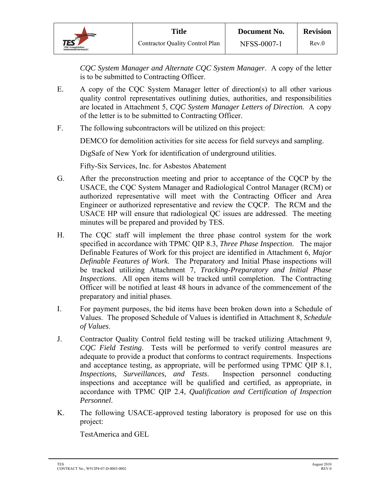*CQC System Manager and Alternate CQC System Manager*. A copy of the letter is to be submitted to Contracting Officer.

- E. A copy of the CQC System Manager letter of direction(s) to all other various quality control representatives outlining duties, authorities, and responsibilities are located in Attachment 5, *CQC System Manager Letters of Direction.* A copy of the letter is to be submitted to Contracting Officer.
- F. The following subcontractors will be utilized on this project:

DEMCO for demolition activities for site access for field surveys and sampling.

DigSafe of New York for identification of underground utilities.

Fifty-Six Services, Inc. for Asbestos Abatement

- G. After the preconstruction meeting and prior to acceptance of the CQCP by the USACE, the CQC System Manager and Radiological Control Manager (RCM) or authorized representative will meet with the Contracting Officer and Area Engineer or authorized representative and review the CQCP. The RCM and the USACE HP will ensure that radiological QC issues are addressed. The meeting minutes will be prepared and provided by TES.
- H. The CQC staff will implement the three phase control system for the work specified in accordance with TPMC QIP 8.3, *Three Phase Inspection*. The major Definable Features of Work for this project are identified in Attachment 6, *Major Definable Features of Work*. The Preparatory and Initial Phase inspections will be tracked utilizing Attachment 7, *Tracking-Preparatory and Initial Phase Inspections*. All open items will be tracked until completion. The Contracting Officer will be notified at least 48 hours in advance of the commencement of the preparatory and initial phases.
- I. For payment purposes, the bid items have been broken down into a Schedule of Values. The proposed Schedule of Values is identified in Attachment 8, *Schedule of Values*.
- J. Contractor Quality Control field testing will be tracked utilizing Attachment 9, *CQC Field Testing*. Tests will be performed to verify control measures are adequate to provide a product that conforms to contract requirements. Inspections and acceptance testing, as appropriate, will be performed using TPMC QIP 8.1, *Inspections, Surveillances, and Tests*. Inspection personnel conducting inspections and acceptance will be qualified and certified, as appropriate, in accordance with TPMC QIP 2.4, *Qualification and Certification of Inspection Personnel*.
- K. The following USACE-approved testing laboratory is proposed for use on this project:

TestAmerica and GEL

TES August 2010 CONTRACT No., W912P4-07-D-0003-0002 REV.0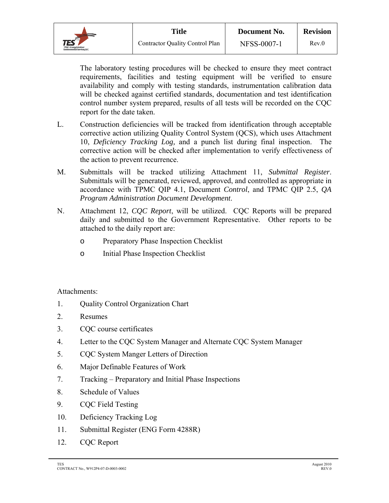

 The laboratory testing procedures will be checked to ensure they meet contract requirements, facilities and testing equipment will be verified to ensure availability and comply with testing standards, instrumentation calibration data will be checked against certified standards, documentation and test identification control number system prepared, results of all tests will be recorded on the CQC report for the date taken.

- L. Construction deficiencies will be tracked from identification through acceptable corrective action utilizing Quality Control System (QCS), which uses Attachment 10, *Deficiency Tracking Log,* and a punch list during final inspection. The corrective action will be checked after implementation to verify effectiveness of the action to prevent recurrence.
- M. Submittals will be tracked utilizing Attachment 11, *Submittal Register*. Submittals will be generated, reviewed, approved, and controlled as appropriate in accordance with TPMC QIP 4.1, Document *Control*, and TPMC QIP 2.5, *QA Program Administration Document Development*.
- N. Attachment 12, *CQC Report*, will be utilized. CQC Reports will be prepared daily and submitted to the Government Representative. Other reports to be attached to the daily report are:
	- o Preparatory Phase Inspection Checklist
	- o Initial Phase Inspection Checklist

Attachments:

- 1. Quality Control Organization Chart
- 2. Resumes
- 3. CQC course certificates
- 4. Letter to the CQC System Manager and Alternate CQC System Manager
- 5. CQC System Manger Letters of Direction
- 6. Major Definable Features of Work
- 7. Tracking Preparatory and Initial Phase Inspections
- 8. Schedule of Values
- 9. CQC Field Testing
- 10. Deficiency Tracking Log
- 11. Submittal Register (ENG Form 4288R)
- 12. CQC Report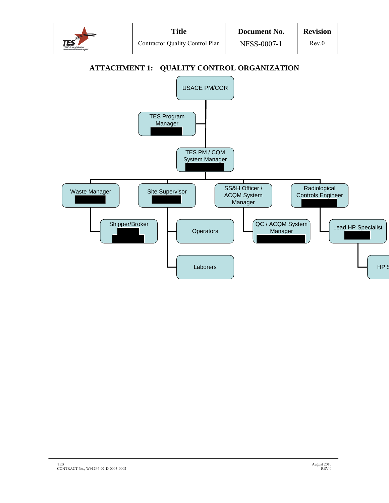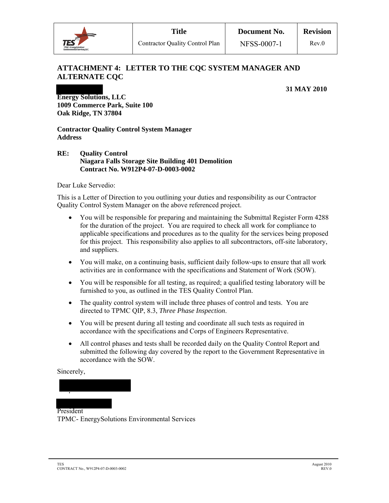

## **ATTACHMENT 4: LETTER TO THE CQC SYSTEM MANAGER AND ALTERNATE CQC**

#### **31 MAY 2010**

**Energy Solutions, LLC 1009 Commerce Park, Suite 100 Oak Ridge, TN 37804** 

**Contractor Quality Control System Manager Address** 

#### **RE: Quality Control Niagara Falls Storage Site Building 401 Demolition Contract No. W912P4-07-D-0003-0002**

Dear Luke Servedio:

This is a Letter of Direction to you outlining your duties and responsibility as our Contractor Quality Control System Manager on the above referenced project.

- You will be responsible for preparing and maintaining the Submittal Register Form 4288 for the duration of the project. You are required to check all work for compliance to applicable specifications and procedures as to the quality for the services being proposed for this project. This responsibility also applies to all subcontractors, off-site laboratory, and suppliers.
- You will make, on a continuing basis, sufficient daily follow-ups to ensure that all work activities are in conformance with the specifications and Statement of Work (SOW).
- You will be responsible for all testing, as required; a qualified testing laboratory will be furnished to you, as outlined in the TES Quality Control Plan.
- The quality control system will include three phases of control and tests. You are directed to TPMC QIP, 8.3, *Three Phase Inspection*.
- You will be present during all testing and coordinate all such tests as required in accordance with the specifications and Corps of Engineers Representative.
- All control phases and tests shall be recorded daily on the Quality Control Report and submitted the following day covered by the report to the Government Representative in accordance with the SOW.

#### Sincerely,

President TPMC- EnergySolutions Environmental Services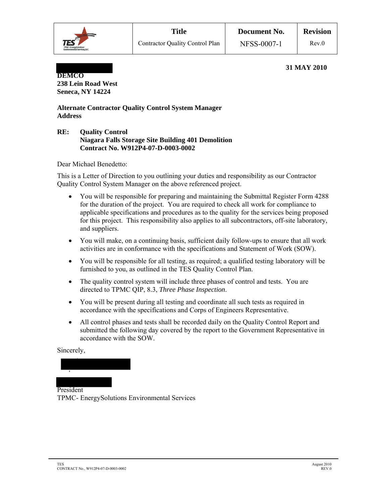

#### **31 MAY 2010**

**DEMCO 238 Lein Road West Seneca, NY 14224** 

#### **Alternate Contractor Quality Control System Manager Address**

#### **RE: Quality Control Niagara Falls Storage Site Building 401 Demolition Contract No. W912P4-07-D-0003-0002**

Dear Michael Benedetto:

This is a Letter of Direction to you outlining your duties and responsibility as our Contractor Quality Control System Manager on the above referenced project.

- You will be responsible for preparing and maintaining the Submittal Register Form 4288 for the duration of the project. You are required to check all work for compliance to applicable specifications and procedures as to the quality for the services being proposed for this project. This responsibility also applies to all subcontractors, off-site laboratory, and suppliers.
- You will make, on a continuing basis, sufficient daily follow-ups to ensure that all work activities are in conformance with the specifications and Statement of Work (SOW).
- You will be responsible for all testing, as required; a qualified testing laboratory will be furnished to you, as outlined in the TES Quality Control Plan.
- The quality control system will include three phases of control and tests. You are directed to TPMC QIP, 8.3, *Three Phase Inspection*.
- You will be present during all testing and coordinate all such tests as required in accordance with the specifications and Corps of Engineers Representative.
- All control phases and tests shall be recorded daily on the Quality Control Report and submitted the following day covered by the report to the Government Representative in accordance with the SOW.

Sincerely,

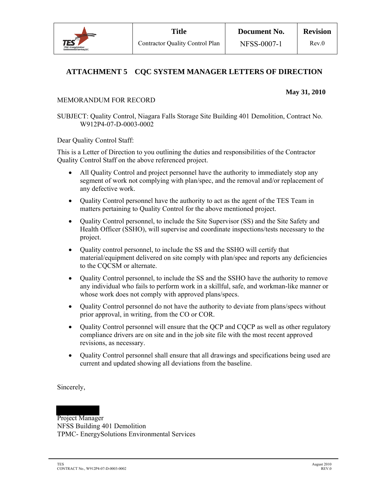

## **ATTACHMENT 5 CQC SYSTEM MANAGER LETTERS OF DIRECTION**

#### **May 31, 2010**

#### MEMORANDUM FOR RECORD

SUBJECT: Quality Control, Niagara Falls Storage Site Building 401 Demolition, Contract No. W912P4-07-D-0003-0002

Dear Quality Control Staff:

This is a Letter of Direction to you outlining the duties and responsibilities of the Contractor Quality Control Staff on the above referenced project.

- All Quality Control and project personnel have the authority to immediately stop any segment of work not complying with plan/spec, and the removal and/or replacement of any defective work.
- Quality Control personnel have the authority to act as the agent of the TES Team in matters pertaining to Quality Control for the above mentioned project.
- Ouality Control personnel, to include the Site Supervisor (SS) and the Site Safety and Health Officer (SSHO), will supervise and coordinate inspections/tests necessary to the project.
- Quality control personnel, to include the SS and the SSHO will certify that material/equipment delivered on site comply with plan/spec and reports any deficiencies to the CQCSM or alternate.
- Quality Control personnel, to include the SS and the SSHO have the authority to remove any individual who fails to perform work in a skillful, safe, and workman-like manner or whose work does not comply with approved plans/specs.
- Ouality Control personnel do not have the authority to deviate from plans/specs without prior approval, in writing, from the CO or COR.
- Quality Control personnel will ensure that the QCP and CQCP as well as other regulatory compliance drivers are on site and in the job site file with the most recent approved revisions, as necessary.
- Quality Control personnel shall ensure that all drawings and specifications being used are current and updated showing all deviations from the baseline.

Sincerely,

## Project Manager

NFSS Building 401 Demolition TPMC- EnergySolutions Environmental Services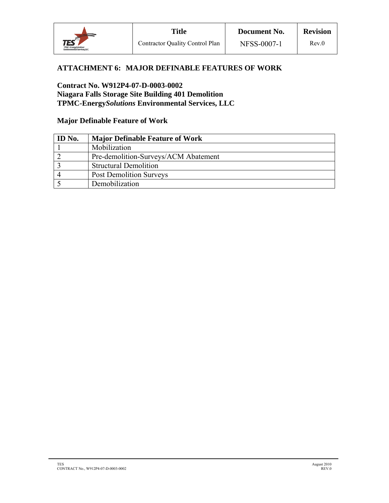

### **ATTACHMENT 6: MAJOR DEFINABLE FEATURES OF WORK**

#### **Contract No. W912P4-07-D-0003-0002 Niagara Falls Storage Site Building 401 Demolition TPMC-Energy***Solutions* **Environmental Services, LLC**

### **Major Definable Feature of Work**

| <b>ID</b> No. | <b>Major Definable Feature of Work</b> |
|---------------|----------------------------------------|
|               | Mobilization                           |
|               | Pre-demolition-Surveys/ACM Abatement   |
|               | <b>Structural Demolition</b>           |
|               | <b>Post Demolition Surveys</b>         |
|               | Demobilization                         |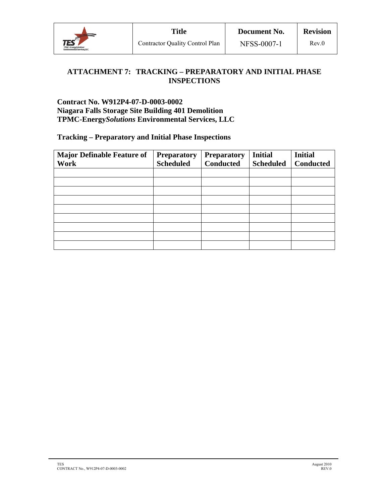

## **ATTACHMENT 7: TRACKING – PREPARATORY AND INITIAL PHASE INSPECTIONS**

**Contract No. W912P4-07-D-0003-0002 Niagara Falls Storage Site Building 401 Demolition TPMC-Energy***Solutions* **Environmental Services, LLC**

**Tracking – Preparatory and Initial Phase Inspections** 

| <b>Major Definable Feature of</b> | <b>Preparatory</b> | <b>Preparatory</b> | <b>Initial</b>   | <b>Initial</b>   |
|-----------------------------------|--------------------|--------------------|------------------|------------------|
| <b>Work</b>                       | <b>Scheduled</b>   | <b>Conducted</b>   | <b>Scheduled</b> | <b>Conducted</b> |
|                                   |                    |                    |                  |                  |
|                                   |                    |                    |                  |                  |
|                                   |                    |                    |                  |                  |
|                                   |                    |                    |                  |                  |
|                                   |                    |                    |                  |                  |
|                                   |                    |                    |                  |                  |
|                                   |                    |                    |                  |                  |
|                                   |                    |                    |                  |                  |
|                                   |                    |                    |                  |                  |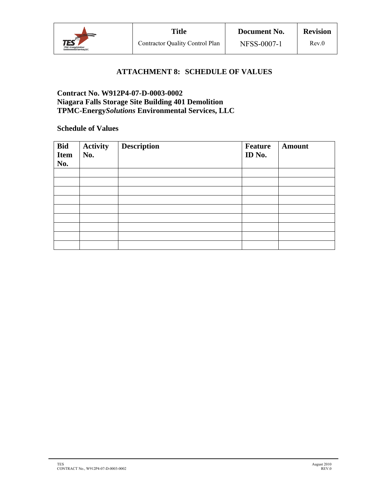

## **ATTACHMENT 8: SCHEDULE OF VALUES**

### **Contract No. W912P4-07-D-0003-0002 Niagara Falls Storage Site Building 401 Demolition TPMC-Energy***Solutions* **Environmental Services, LLC**

#### **Schedule of Values**

| Bid<br><b>Item</b><br>No. | <b>Activity</b><br>No. | <b>Description</b> | Feature<br>ID No. | <b>Amount</b> |
|---------------------------|------------------------|--------------------|-------------------|---------------|
|                           |                        |                    |                   |               |
|                           |                        |                    |                   |               |
|                           |                        |                    |                   |               |
|                           |                        |                    |                   |               |
|                           |                        |                    |                   |               |
|                           |                        |                    |                   |               |
|                           |                        |                    |                   |               |
|                           |                        |                    |                   |               |
|                           |                        |                    |                   |               |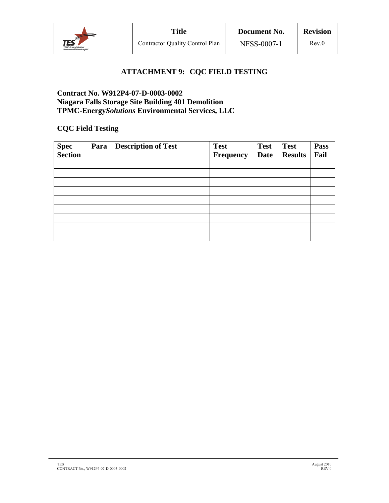

## **ATTACHMENT 9: CQC FIELD TESTING**

### **Contract No. W912P4-07-D-0003-0002 Niagara Falls Storage Site Building 401 Demolition TPMC-Energy***Solutions* **Environmental Services, LLC**

## **CQC Field Testing**

| Spec<br>Section | Para | <b>Description of Test</b> | <b>Test</b> | <b>Test</b> | <b>Test</b>    | <b>Pass</b> |
|-----------------|------|----------------------------|-------------|-------------|----------------|-------------|
|                 |      |                            | Frequency   | <b>Date</b> | <b>Results</b> | Fail        |
|                 |      |                            |             |             |                |             |
|                 |      |                            |             |             |                |             |
|                 |      |                            |             |             |                |             |
|                 |      |                            |             |             |                |             |
|                 |      |                            |             |             |                |             |
|                 |      |                            |             |             |                |             |
|                 |      |                            |             |             |                |             |
|                 |      |                            |             |             |                |             |
|                 |      |                            |             |             |                |             |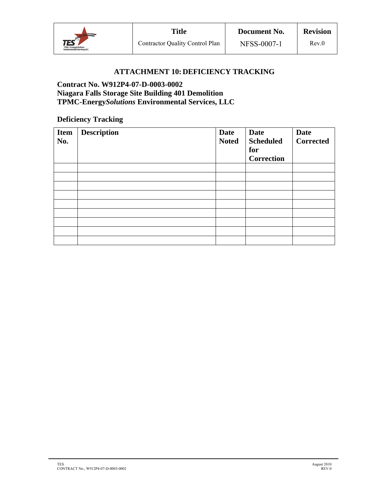

## **ATTACHMENT 10: DEFICIENCY TRACKING**

#### **Contract No. W912P4-07-D-0003-0002 Niagara Falls Storage Site Building 401 Demolition TPMC-Energy***Solutions* **Environmental Services, LLC**

#### **Deficiency Tracking**

| <b>Item</b><br>No. | <b>Description</b> | Date<br><b>Noted</b> | <b>Date</b><br><b>Scheduled</b><br>for<br><b>Correction</b> | <b>Date</b><br><b>Corrected</b> |
|--------------------|--------------------|----------------------|-------------------------------------------------------------|---------------------------------|
|                    |                    |                      |                                                             |                                 |
|                    |                    |                      |                                                             |                                 |
|                    |                    |                      |                                                             |                                 |
|                    |                    |                      |                                                             |                                 |
|                    |                    |                      |                                                             |                                 |
|                    |                    |                      |                                                             |                                 |
|                    |                    |                      |                                                             |                                 |
|                    |                    |                      |                                                             |                                 |
|                    |                    |                      |                                                             |                                 |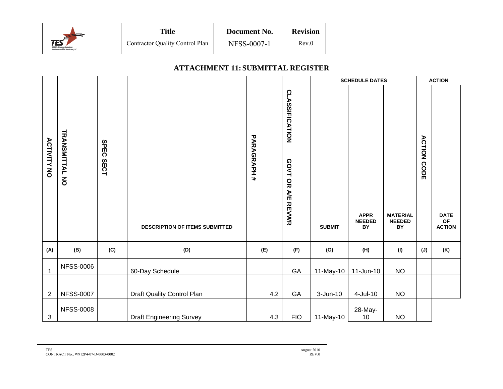

#### **ATTACHMENT 11: SUBMITTAL REGISTER**

|                    |                       |                     |                                       |                  |                                            | <b>SCHEDULE DATES</b> |                                    |                                        | <b>ACTION</b>      |                             |
|--------------------|-----------------------|---------------------|---------------------------------------|------------------|--------------------------------------------|-----------------------|------------------------------------|----------------------------------------|--------------------|-----------------------------|
| <b>ACTIVITY NO</b> | <b>TRANSMITTAL NO</b> | <b>SPEC</b><br>SECT | <b>DESCRIPTION OF ITEMS SUBMITTED</b> | <b>PARAGRAH#</b> | <b>CLASSIFICATION</b><br>GOVT OR A/E REVWR | <b>SUBMIT</b>         | <b>APPR</b><br><b>NEEDED</b><br>BY | <b>MATERIAL</b><br><b>NEEDED</b><br>BY | <b>ACTION CODE</b> | <b>DATE</b><br>OF<br>ACTION |
|                    |                       |                     |                                       |                  |                                            |                       |                                    |                                        |                    |                             |
| (A)                | (B)                   | (C)                 | (D)                                   | (E)              | (F)                                        | (G)                   | (H)                                | (1)                                    | $(\mathsf{J})$     | (K)                         |
| $\mathbf{1}$       | <b>NFSS-0006</b>      |                     | 60-Day Schedule                       |                  | GA                                         | 11-May-10             | $11$ -Jun-10                       | $NO$                                   |                    |                             |
|                    |                       |                     |                                       |                  |                                            |                       |                                    |                                        |                    |                             |
| $\overline{2}$     | <b>NFSS-0007</b>      |                     | Draft Quality Control Plan            | 4.2              | GA                                         | $3 - Jun-10$          | 4-Jul-10                           | NO                                     |                    |                             |
| 3                  | <b>NFSS-0008</b>      |                     | <b>Draft Engineering Survey</b>       | 4.3              | <b>FIO</b>                                 | 11-May-10             | 28-May-<br>10                      | <b>NO</b>                              |                    |                             |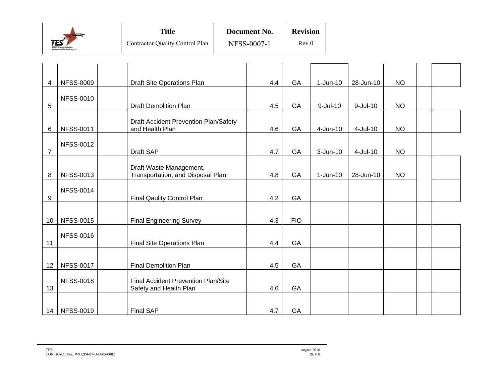|                                                                           | <b>Title</b>                           | Document No.       | <b>Revision</b> |  |
|---------------------------------------------------------------------------|----------------------------------------|--------------------|-----------------|--|
| <b>TES</b><br><b>TRAC-Energy@alustore:</b><br>Environmental Services, LLC | <b>Contractor Quality Control Plan</b> | <b>NFSS-0007-1</b> | Rev.0           |  |

| 4              | <b>NFSS-0009</b> | Draft Site Operations Plan                                    | 4.4 | GA         | $1-Jun-10$  | 28-Jun-10       | <b>NO</b> |  |
|----------------|------------------|---------------------------------------------------------------|-----|------------|-------------|-----------------|-----------|--|
| 5              | <b>NFSS-0010</b> | <b>Draft Demolition Plan</b>                                  | 4.5 | GA         | $9$ -Jul-10 | $9 -$ Jul $-10$ | <b>NO</b> |  |
|                |                  |                                                               |     |            |             |                 |           |  |
| 6              | <b>NFSS-0011</b> | Draft Accident Prevention Plan/Safety<br>and Health Plan      | 4.6 | GA         | 4-Jun-10    | 4-Jul-10        | <b>NO</b> |  |
| $\overline{7}$ | <b>NFSS-0012</b> | Draft SAP                                                     | 4.7 | GA         | $3-Jun-10$  | 4-Jul-10        | <b>NO</b> |  |
| 8              | <b>NFSS-0013</b> | Draft Waste Management,<br>Transportation, and Disposal Plan  | 4.8 | GA         | $1-Jun-10$  | 28-Jun-10       | <b>NO</b> |  |
| 9              | <b>NFSS-0014</b> | Final Qaulity Control Plan                                    | 4.2 | GA         |             |                 |           |  |
| 10             | <b>NFSS-0015</b> | <b>Final Engineering Survey</b>                               | 4.3 | <b>FIO</b> |             |                 |           |  |
| 11             | <b>NFSS-0016</b> | Final Site Operations Plan                                    | 4.4 | GA         |             |                 |           |  |
| 12             | <b>NFSS-0017</b> | <b>Final Demolition Plan</b>                                  | 4.5 | GA         |             |                 |           |  |
| 13             | <b>NFSS-0018</b> | Final Accident Prevention Plan/Site<br>Safety and Health Plan | 4.6 | GA         |             |                 |           |  |
| 14             | <b>NFSS-0019</b> | <b>Final SAP</b>                                              | 4.7 | GA         |             |                 |           |  |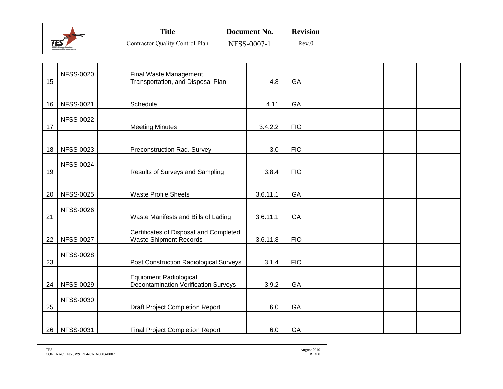|                                                            | <b>Title</b>                           | Document No.       | <b>Revision</b> |  |
|------------------------------------------------------------|----------------------------------------|--------------------|-----------------|--|
| TES<br>TPMC-Energy@alustow.<br>Environmental Services, LLC | <b>Contractor Quality Control Plan</b> | <b>NFSS-0007-1</b> | Rev.0           |  |

| 15 | <b>NFSS-0020</b> | Final Waste Management,<br>Transportation, and Disposal Plan                 | 4.8      | GA         |  |  |  |
|----|------------------|------------------------------------------------------------------------------|----------|------------|--|--|--|
| 16 | <b>NFSS-0021</b> | Schedule                                                                     | 4.11     | GA         |  |  |  |
| 17 | <b>NFSS-0022</b> | <b>Meeting Minutes</b>                                                       | 3.4.2.2  | <b>FIO</b> |  |  |  |
| 18 | <b>NFSS-0023</b> | Preconstruction Rad. Survey                                                  | 3.0      | <b>FIO</b> |  |  |  |
| 19 | <b>NFSS-0024</b> | Results of Surveys and Sampling                                              | 3.8.4    | <b>FIO</b> |  |  |  |
| 20 | <b>NFSS-0025</b> | <b>Waste Profile Sheets</b>                                                  | 3.6.11.1 | GA         |  |  |  |
| 21 | <b>NFSS-0026</b> | Waste Manifests and Bills of Lading                                          | 3.6.11.1 | GA         |  |  |  |
| 22 | <b>NFSS-0027</b> | Certificates of Disposal and Completed<br><b>Waste Shipment Records</b>      | 3.6.11.8 | <b>FIO</b> |  |  |  |
| 23 | <b>NFSS-0028</b> | Post Construction Radiological Surveys                                       | 3.1.4    | <b>FIO</b> |  |  |  |
| 24 | <b>NFSS-0029</b> | <b>Equipment Radiological</b><br><b>Decontamination Verification Surveys</b> | 3.9.2    | GA         |  |  |  |
| 25 | <b>NFSS-0030</b> | <b>Draft Project Completion Report</b>                                       | 6.0      | GA         |  |  |  |
| 26 | <b>NFSS-0031</b> | <b>Final Project Completion Report</b>                                       | 6.0      | GA         |  |  |  |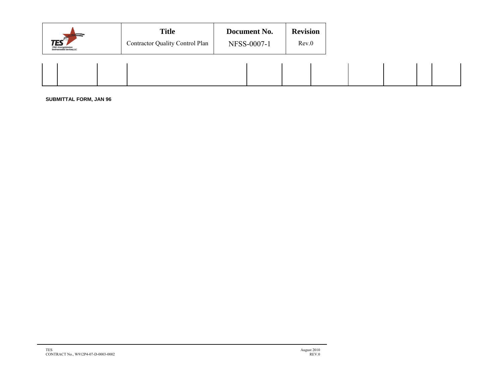| $\text{TES}$<br><b>TRAC-Energy@alustors:</b><br><b>Environmental Services, LLC</b> | <b>Title</b><br><b>Contractor Quality Control Plan</b> | Document No.<br>NFSS-0007-1 | <b>Revision</b><br>Rev.0 |
|------------------------------------------------------------------------------------|--------------------------------------------------------|-----------------------------|--------------------------|
|                                                                                    |                                                        |                             |                          |

**SUBMITTAL FORM, JAN 96**